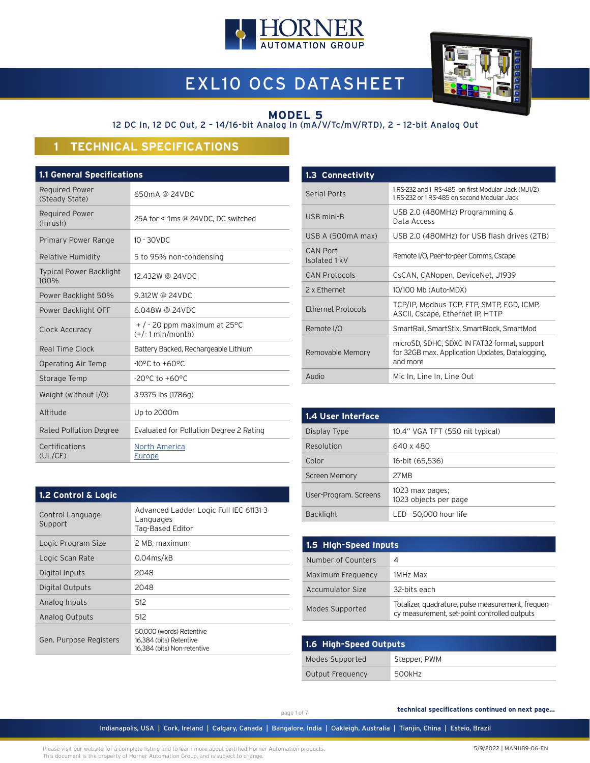



# EXL10 OCS DATASHEET

### **MODEL 5**

### 12 DC In, 12 DC Out, 2 – 14/16-bit Analog In (mA/V/Tc/mV/RTD), 2 – 12-bit Analog Out

### **1 TECHNICAL SPECIFICATIONS**

| <b>1.1 General Specifications</b>       |                                                        |  |
|-----------------------------------------|--------------------------------------------------------|--|
| <b>Required Power</b><br>(Steady State) | 650mA @ 24VDC                                          |  |
| <b>Required Power</b><br>(Inrush)       | 25A for < 1ms @ 24VDC, DC switched                     |  |
| Primary Power Range                     | 10 - 30VDC                                             |  |
| Relative Humidity                       | 5 to 95% non-condensing                                |  |
| <b>Typical Power Backlight</b><br>100%  | 12,432W @ 24VDC                                        |  |
| Power Backlight 50%                     | 9.312W @ 24VDC                                         |  |
| Power Backlight OFF                     | 6.048W @ 24VDC                                         |  |
| Clock Accuracy                          | $+$ / - 20 ppm maximum at 25 °C<br>$(+/- 1 min/month)$ |  |
| Real Time Clock                         | Battery Backed, Rechargeable Lithium                   |  |
| Operating Air Temp                      | $-10^{\circ}$ C to $+60^{\circ}$ C                     |  |
| Storage Temp                            | -20°C to +60°C                                         |  |
| Weight (without I/O)                    | 3.9375 lbs (1786g)                                     |  |
| Altitude                                | Up to 2000m                                            |  |
| <b>Rated Pollution Degree</b>           | Evaluated for Pollution Degree 2 Rating                |  |
| Certifications<br>(UL/CE)               | <b>North America</b><br>Europe                         |  |

| 1.3 Connectivity                 |                                                                                                             |
|----------------------------------|-------------------------------------------------------------------------------------------------------------|
| <b>Serial Ports</b>              | 1RS-232 and 1 RS-485 on first Modular Jack (MJ1/2)<br>1 RS-232 or 1 RS-485 on second Modular Jack           |
| USB mini-B                       | USB 2.0 (480MHz) Programming &<br>Data Access                                                               |
| USB A (500mA max)                | USB 2.0 (480MHz) for USB flash drives (2TB)                                                                 |
| <b>CAN Port</b><br>Isolated 1 kV | Remote I/O, Peer-to-peer Comms, Cscape                                                                      |
| <b>CAN Protocols</b>             | CsCAN, CANopen, DeviceNet, J1939                                                                            |
| 2 x Ethernet                     | 10/100 Mb (Auto-MDX)                                                                                        |
| Ethernet Protocols               | TCP/IP, Modbus TCP, FTP, SMTP, EGD, ICMP,<br>ASCII, Cscape, Ethernet IP, HTTP                               |
| Remote I/O                       | SmartRail, SmartStix, SmartBlock, SmartMod                                                                  |
| Removable Memory                 | microSD, SDHC, SDXC IN FAT32 format, support<br>for 32GB max. Application Updates, Datalogging,<br>and more |
| Audio                            | Mic In, Line In, Line Out                                                                                   |

| 1.4 User Interface    |                                          |  |  |
|-----------------------|------------------------------------------|--|--|
| Display Type          | 10.4" VGA TFT (550 nit typical)          |  |  |
| Resolution            | 640 x 480                                |  |  |
| Color                 | 16-bit (65,536)                          |  |  |
| <b>Screen Memory</b>  | 27MB                                     |  |  |
| User-Program. Screens | 1023 max pages;<br>1023 objects per page |  |  |
| <b>Backlight</b>      | LED - 50,000 hour life                   |  |  |

| 1.5 High-Speed Inputs |                                                                                                    |  |
|-----------------------|----------------------------------------------------------------------------------------------------|--|
| Number of Counters    | 4                                                                                                  |  |
| Maximum Frequency     | 1MHz Max                                                                                           |  |
| Accumulator Size      | 32-bits each                                                                                       |  |
| Modes Supported       | Totalizer, quadrature, pulse measurement, frequen-<br>cy measurement, set-point controlled outputs |  |

| 1.6 High-Speed Outputs |              |  |
|------------------------|--------------|--|
| Modes Supported        | Stepper, PWM |  |
| Output Frequency       | 500kHz       |  |

| 1.2 Control & Logic         |                                                                                    | User-Program. Screens   | 102<br>102      |
|-----------------------------|------------------------------------------------------------------------------------|-------------------------|-----------------|
| Control Language<br>Support | Advanced Ladder Logic Full IEC 61131-3<br>Languages<br>Tag-Based Editor            | <b>Backlight</b>        | LED             |
| Logic Program Size          | 2 MB, maximum                                                                      | 1.5 High-Speed Inputs   |                 |
| Logic Scan Rate             | $0.04$ ms/kB                                                                       | Number of Counters      | 4               |
| Digital Inputs              | 2048                                                                               | Maximum Frequency       | 1M <sub>F</sub> |
| Digital Outputs             | 2048                                                                               | <b>Accumulator Size</b> | $32 -$          |
| Analog Inputs               | 512                                                                                | Modes Supported         | Tota            |
| Analog Outputs              | 512                                                                                |                         | cy r            |
| Gen. Purpose Registers      | 50,000 (words) Retentive<br>16,384 (bits) Retentive<br>16,384 (bits) Non-retentive | 1.6 High-Speed Outputs  |                 |
|                             |                                                                                    |                         |                 |

page 1 of 7

 **technical specifications continued on next page...**

Indianapolis, USA | Cork, Ireland | Calgary, Canada | Bangalore, India | Oakleigh, Australia | Tianjin, China | Esteio, Brazil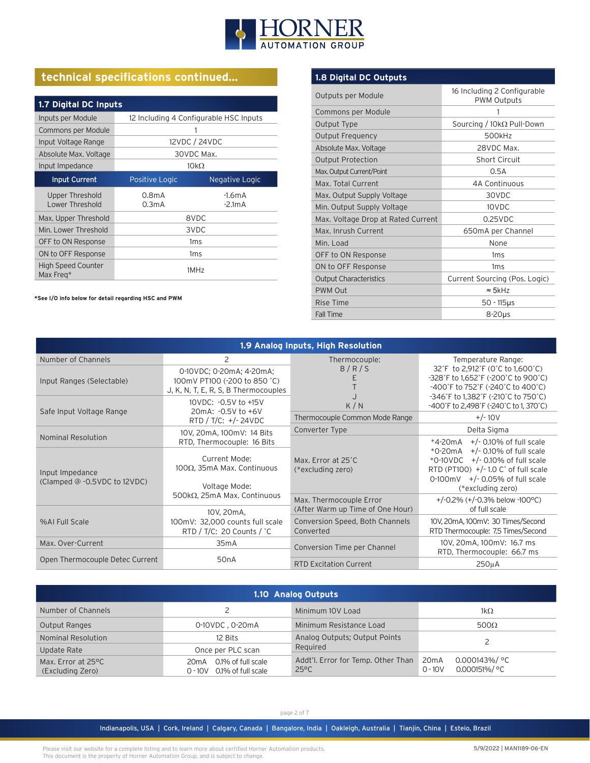

### **technical specifications continued...**

| 1.7 Digital DC Inputs                  |                                        |                      |  |  |
|----------------------------------------|----------------------------------------|----------------------|--|--|
| Inputs per Module                      | 12 Including 4 Configurable HSC Inputs |                      |  |  |
| Commons per Module                     |                                        |                      |  |  |
| Input Voltage Range                    |                                        | 12VDC / 24VDC        |  |  |
| Absolute Max. Voltage                  |                                        | 30VDC Max.           |  |  |
| Input Impedance                        | $10k\Omega$                            |                      |  |  |
| <b>Input Current</b>                   | Positive Logic                         | Negative Logic       |  |  |
| Upper Threshold<br>Lower Threshold     | 0.8 <sub>m</sub> A<br>0.3mA            | $-1.6mA$<br>$-2.1mA$ |  |  |
| Max. Upper Threshold                   | 8VDC                                   |                      |  |  |
| Min. Lower Threshold                   | 3VDC                                   |                      |  |  |
| OFF to ON Response                     | 1 <sub>ms</sub>                        |                      |  |  |
| ON to OFF Response                     | 1 <sub>ms</sub>                        |                      |  |  |
| <b>High Speed Counter</b><br>Max Freq* | 1MH <sub>7</sub>                       |                      |  |  |

**\*See I/O info below for detail regarding HSC and PWM**

### **1.8 Digital DC Outputs**

| Outputs per Module                 | 16 Including 2 Configurable<br><b>PWM Outputs</b> |
|------------------------------------|---------------------------------------------------|
| Commons per Module                 | 1                                                 |
| Output Type                        | Sourcing / 10kΩ Pull-Down                         |
| Output Frequency                   | 500kHz                                            |
| Absolute Max. Voltage              | 28VDC Max.                                        |
| <b>Output Protection</b>           | <b>Short Circuit</b>                              |
| Max. Output Current/Point          | 0.5A                                              |
| Max. Total Current                 | 4A Continuous                                     |
| Max. Output Supply Voltage         | 30VDC                                             |
| Min. Output Supply Voltage         | 10VDC                                             |
| Max. Voltage Drop at Rated Current | $0.25$ VDC                                        |
| Max. Inrush Current                | 650mA per Channel                                 |
| Min. Load                          | None                                              |
| OFF to ON Response                 | 1 <sub>ms</sub>                                   |
| ON to OFF Response                 | 1 <sub>ms</sub>                                   |
| <b>Output Characteristics</b>      | Current Sourcing (Pos. Logic)                     |
| PWM Out                            | $\approx$ 5kHz                                    |
| Rise Time                          | $50 - 115$ µs                                     |
| <b>Fall Time</b>                   | $8-20\mu s$                                       |

| 1.9 Analog Inputs, High Resolution                                    |                                                                                                  |                                                             |                                                                                                                                                                                                                                 |
|-----------------------------------------------------------------------|--------------------------------------------------------------------------------------------------|-------------------------------------------------------------|---------------------------------------------------------------------------------------------------------------------------------------------------------------------------------------------------------------------------------|
| Number of Channels                                                    | $\overline{c}$                                                                                   | Thermocouple:                                               | Temperature Range:                                                                                                                                                                                                              |
| Input Ranges (Selectable)                                             | 0-10VDC; 0-20mA; 4-20mA;<br>100mV PT100 (-200 to 850 °C)<br>J, K, N, T, E, R, S, B Thermocouples | B/R/S                                                       | 32°F to 2,912°F (0°C to 1,600°C)<br>-328°F to 1,652°F (-200°C to 900°C)<br>$-400^{\circ}$ F to 752 $^{\circ}$ F (-240 $^{\circ}$ C to 400 $^{\circ}$ C)<br>-346°F to 1,382°F (-210°C to 750°C)                                  |
|                                                                       | 10VDC: - 0.5V to +15V<br>20mA: -0.5V to +6V                                                      | K/N                                                         | $-400^{\circ}$ F to 2,498 $^{\circ}$ F (-240 $^{\circ}$ C to 1, 370 $^{\circ}$ C)                                                                                                                                               |
| Safe Input Voltage Range                                              | RTD / T/C: $+/- 24VDC$                                                                           | Thermocouple Common Mode Range                              | $+/- 10V$                                                                                                                                                                                                                       |
|                                                                       | 10V, 20mA, 100mV: 14 Bits                                                                        | Converter Type                                              | Delta Sigma                                                                                                                                                                                                                     |
| Nominal Resolution<br>Input Impedance<br>(Clamped @ -0.5VDC to 12VDC) | RTD, Thermocouple: 16 Bits<br>Current Mode:<br>$100Ω$ , 35mA Max. Continuous<br>Voltage Mode:    | Max. Error at 25°C<br>(*excluding zero)                     | $*4-20mA$ +/- 0.10% of full scale<br>$*$ 0-20 mA $+$ /-0.10% of full scale<br>$*$ 0-10VDC $+/-$ 0.10% of full scale<br>RTD (PT100) $+/-1.0$ C° of full scale<br>$+/-$ 0.05% of full scale<br>$0 - 100$ m V<br>(*excluding zero) |
|                                                                       | 500kΩ, 25mA Max. Continuous<br>10V, 20mA,                                                        | Max. Thermocouple Error<br>(After Warm up Time of One Hour) | $+/-0.2\%$ ( $+/-0.3\%$ below -100 °C)<br>of full scale                                                                                                                                                                         |
| %AI Full Scale                                                        | 100mV: 32,000 counts full scale<br>RTD / T/C: 20 Counts / $^{\circ}$ C                           | Conversion Speed, Both Channels<br>Converted                | 10V, 20mA, 100mV: 30 Times/Second<br>RTD Thermocouple: 7.5 Times/Second                                                                                                                                                         |
| Max. Over-Current                                                     | 35mA                                                                                             | Conversion Time per Channel                                 | 10V, 20mA, 100mV: 16.7 ms<br>RTD, Thermocouple: 66.7 ms                                                                                                                                                                         |
| Open Thermocouple Detec Current                                       | 50 <sub>n</sub> A                                                                                | <b>RTD Excitation Current</b>                               | 250 <sub>u</sub> A                                                                                                                                                                                                              |

| 1.10 Analog Outputs                    |                                                               |                                                           |                                                     |
|----------------------------------------|---------------------------------------------------------------|-----------------------------------------------------------|-----------------------------------------------------|
| Number of Channels                     |                                                               | Minimum 10V Load                                          | $1k\Omega$                                          |
| <b>Output Ranges</b>                   | 0-10VDC, 0-20mA                                               | Minimum Resistance Load                                   | $500\Omega$                                         |
| Nominal Resolution                     | 12 Bits                                                       | Analog Outputs; Output Points                             |                                                     |
| Update Rate                            | Once per PLC scan                                             | Required                                                  |                                                     |
| Max. Error at 25°C<br>(Excluding Zero) | 0.1% of full scale<br>20mA<br>0.1% of full scale<br>$0 - 10V$ | Addt'l. Error for Temp. Other Than 20mA<br>$25^{\circ}$ C | $0.000143\%$ / °C<br>$0.000151\%$ / °C<br>$0 - 10V$ |

page 2 of 7

Indianapolis, USA | Cork, Ireland | Calgary, Canada | Bangalore, India | Oakleigh, Australia | Tianjin, China | Esteio, Brazil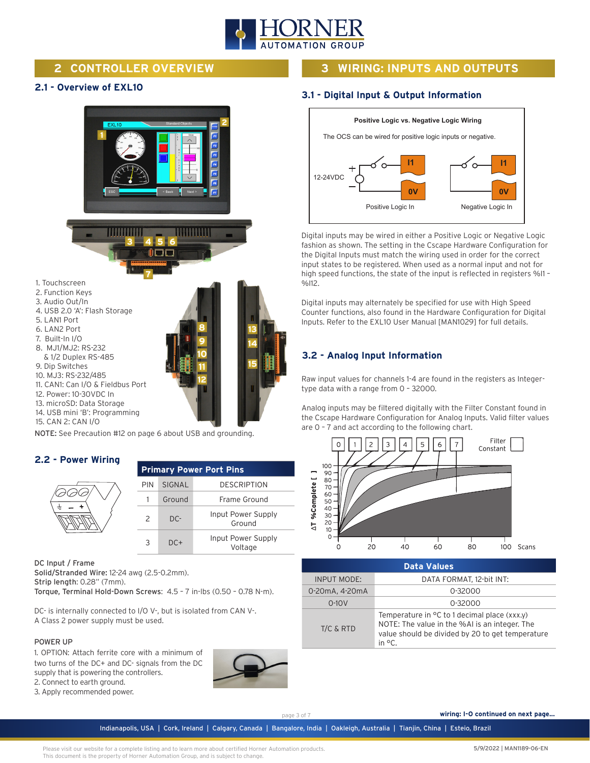

### **2 CONTROLLER OVERVIEW**

### **3 WIRING: INPUTS AND OUTPUTS**

### **2.1 - Overview of EXL10**



NOTE: See Precaution #12 on page 6 about USB and grounding.

#### **2.2 - Power Wiring**

|               | <b>Primary Power Port Pins</b> |                               |  |
|---------------|--------------------------------|-------------------------------|--|
| PIN           | SIGNAL                         | <b>DESCRIPTION</b>            |  |
|               | Ground                         | Frame Ground                  |  |
| $\mathcal{P}$ | $DC-$                          | Input Power Supply<br>Ground  |  |
| ર             | $DC+$                          | Input Power Supply<br>Voltage |  |

DC Input / Frame Solid/Stranded Wire: 12-24 awg (2.5-0.2mm). Strip length: 0.28" (7mm).

Torque, Terminal Hold-Down Screws: 4.5 – 7 in-lbs (0.50 – 0.78 N-m).

DC- is internally connected to I/O V-, but is isolated from CAN V-. A Class 2 power supply must be used.

#### POWER UP

1. OPTION: Attach ferrite core with a minimum of two turns of the DC+ and DC- signals from the DC supply that is powering the controllers. 2. Connect to earth ground.





### **3.1 - Digital Input & Output Information**



Digital inputs may be wired in either a Positive Logic or Negative Logic fashion as shown. The setting in the Cscape Hardware Configuration for the Digital Inputs must match the wiring used in order for the correct input states to be registered. When used as a normal input and not for high speed functions, the state of the input is reflected in registers %I1 – %I12.

Digital inputs may alternately be specified for use with High Speed Counter functions, also found in the Hardware Configuration for Digital Inputs. Refer to the EXL10 User Manual [MAN1029] for full details.

### **3.2 - Analog Input Information**

Raw input values for channels 1-4 are found in the registers as Integertype data with a range from 0 – 32000.

Analog inputs may be filtered digitally with the Filter Constant found in the Cscape Hardware Configuration for Analog Inputs. Valid filter values are 0 – 7 and act according to the following chart.



| <b>Data Values</b>                             |                                                                                                                                                                                |  |  |
|------------------------------------------------|--------------------------------------------------------------------------------------------------------------------------------------------------------------------------------|--|--|
| DATA FORMAT, 12-bit INT:<br><b>INPUT MODE:</b> |                                                                                                                                                                                |  |  |
| 0-20mA, 4-20mA<br>0-32000                      |                                                                                                                                                                                |  |  |
| $0 - 10V$                                      | $0 - 32000$                                                                                                                                                                    |  |  |
| $T/C$ & RTD                                    | Temperature in $\circ$ C to 1 decimal place (xxx.y)<br>NOTE: The value in the %AI is an integer. The<br>value should be divided by 20 to get temperature<br>in ${}^{\circ}$ C. |  |  |

page 3 of 7

 **wiring: I-O continued on next page...**

Indianapolis, USA | Cork, Ireland | Calgary, Canada | Bangalore, India | Oakleigh, Australia | Tianjin, China | Esteio, Brazil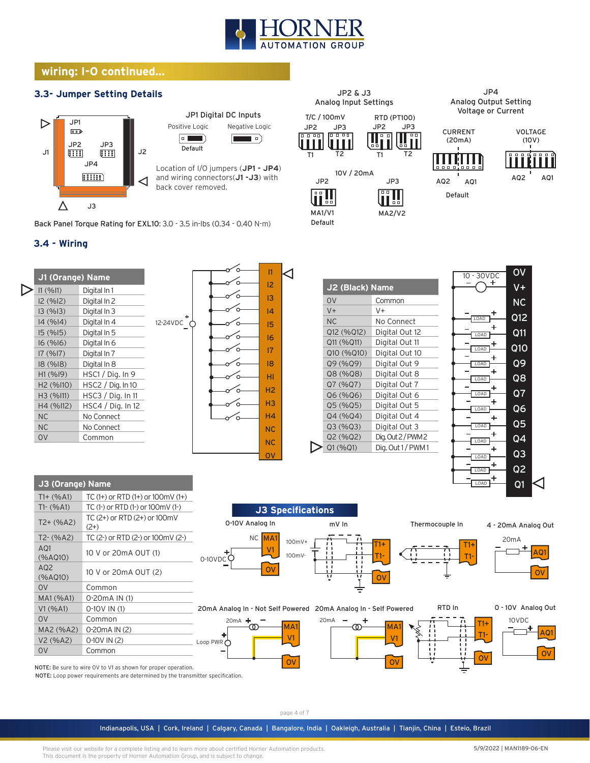

JP2 & J3 Analog Input Settings

JP2 JP3 JP2 JP3

T/C / 100mV RTD (PT100)

T1 T2 T1 T2

10V / 20mA

WШ

MA2/V2

**iill** 

JP3

Default MA1/V1

JP2

**Gill** 

Ш

## **wiring: I-O continued...**

### **3.3- Jumper Setting Details**



Back Panel Torque Rating for EXL10: 3.0 - 3.5 in-lbs (0.34 - 0.40 N-m)

### **3.4 - Wiring**



| J2 (Black) Name |                    |
|-----------------|--------------------|
| 0 <sup>V</sup>  | Common             |
| $V +$           | V+                 |
| <b>NC</b>       | No Connect         |
| Q12 (%Q12)      | Digital Out 12     |
| Q11 (%Q11)      | Digital Out 11     |
| Q10 (%Q10)      | Digital Out 10     |
| Q9 (%Q9)        | Digital Out 9      |
| Q8 (%Q8)        | Digital Out 8      |
| Q7 (%Q7)        | Digital Out 7      |
| Q6 (%Q6)        | Digital Out 6      |
| Q5 (%Q5)        | Digital Out 5      |
| Q4 (%Q4)        | Digital Out 4      |
| Q3 (%Q3)        | Digital Out 3      |
| Q2 (%Q2)        | Dig. Out 2 / PWM 2 |
| Q1 (%Q1)        | Dig. Out 1 / PWM1  |



Q2

LOAD

÷.

JP4 Analog Output Setting Voltage or Current

AQ2 AQ1 AQ2 AQ1

VOLTAGE (10V)

CURRENT (20mA)

**THITI** 

Default

| J3 (Orange) Name           |                                                               |                                                                 |                          |                                                                       |           |                              | LOAD<br>Q1          |
|----------------------------|---------------------------------------------------------------|-----------------------------------------------------------------|--------------------------|-----------------------------------------------------------------------|-----------|------------------------------|---------------------|
| $T1 + (%A1)$               | TC (1+) or RTD (1+) or 100mV (1+)                             |                                                                 |                          |                                                                       |           |                              |                     |
| $T1-(%A1)$                 | TC (1-) or RTD (1-) or 100mV (1-)                             |                                                                 | <b>J3 Specifications</b> |                                                                       |           |                              |                     |
| $T2+ (%A2)$                | TC $(2+)$ or RTD $(2+)$ or 100mV<br>$(2+)$                    | 0-10V Analog In                                                 |                          | mV In                                                                 |           | Thermocouple In              | 4 - 20mA Analog Out |
| $T2-(%A2)$                 | TC (2-) or RTD (2-) or 100mV (2-)                             | NC MA1                                                          | $100mV+$                 |                                                                       |           |                              | 20 <sub>m</sub> A   |
| AQ1<br>(%AQ10)             | 10 V or 20mA OUT (1)                                          | $\frac{V_1}{V_2}$<br>$0-10$ VDC $Q$                             | 100mV-                   | ᠇<br>. .<br>$\overline{1}$<br>$\mathbf{1}$                            | 1+<br>TF  | $T1+$<br>$T1-$               |                     |
| AQ <sub>2</sub><br>(%AQ10) | 10 V or 20 m A OUT (2)                                        | <b>OV</b>                                                       |                          | $\mathbf{1}$<br>$\mathbf{L}$<br>. .<br>$\overline{u}$<br>$\mathbf{u}$ | <b>OV</b> |                              | ov                  |
| 0 <sup>V</sup>             | Common                                                        |                                                                 |                          |                                                                       |           |                              |                     |
| MA1 (%A1)                  | 0-20 m A IN (1)                                               |                                                                 |                          |                                                                       |           |                              |                     |
| V1 (% A1)                  | $0-10V$ IN (1)                                                | 20mA Analog In - Not Self Powered 20mA Analog In - Self Powered |                          |                                                                       |           | RTD In                       | 0 - 10V Analog Out  |
| 0 <sup>V</sup>             | Common                                                        | $20mA +$                                                        |                          | 20 <sub>m</sub> A                                                     |           |                              | 10VDC<br>$T1+$      |
| MA2 (%A2)                  | 0-20 m A IN (2)                                               | ത                                                               | MA <sub>1</sub>          | ത                                                                     | MA1       | $\mathbf{I}$                 |                     |
| V2 (%A2)                   | $0-10V$ IN (2)                                                | Loop PWR $\bigcap$                                              |                          |                                                                       | V1        | $\mathbf{I}$                 | T1                  |
| O <sub>V</sub>             | Common                                                        |                                                                 |                          |                                                                       |           | $\mathbf{L}$<br>$\mathbf{L}$ | <b>OV</b>           |
|                            | NOTE: Be sure to wire OV to V1 as shown for proper operation. |                                                                 | <b>OV</b>                |                                                                       | OV        |                              | <b>OV</b>           |

NOTE: Loop power requirements are determined by the transmitter specification.

page 4 of 7

Indianapolis, USA | Cork, Ireland | Calgary, Canada | Bangalore, India | Oakleigh, Australia | Tianjin, China | Esteio, Brazil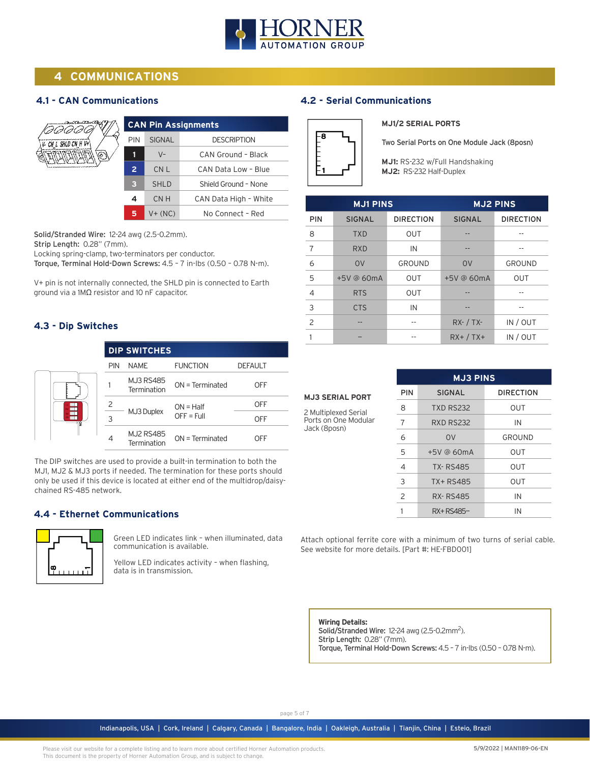

### **4 COMMUNICATIONS**

### **4.1 - CAN Communications**

|                            | <b>CAN Pin Assignments</b> |                 |                       |  |
|----------------------------|----------------------------|-----------------|-----------------------|--|
| $V - CN_L$ SHLD CN $H V +$ | <b>PIN</b>                 | <b>SIGNAL</b>   | <b>DESCRIPTION</b>    |  |
|                            | 1                          | $V -$           | CAN Ground - Black    |  |
|                            | $\overline{2}$             | CN <sub>L</sub> | CAN Data Low - Blue   |  |
|                            | 3                          | <b>SHLD</b>     | Shield Ground - None  |  |
|                            | 4                          | CN H            | CAN Data High - White |  |
|                            | 5                          | $V + (NC)$      | No Connect - Red      |  |
|                            |                            |                 |                       |  |

Solid/Stranded Wire: 12-24 awg (2.5-0.2mm).

Strip Length: 0.28" (7mm).

 $\bigg\langle$ 

Locking spring-clamp, two-terminators per conductor.

Torque, Terminal Hold-Down Screws: 4.5 – 7 in-lbs (0.50 – 0.78 N-m).

V+ pin is not internally connected, the SHLD pin is connected to Earth ground via a 1MΩ resistor and 10 nF capacitor.

### **4.3 - Dip Switches**

|   |     | <b>DIP SWITCHES</b>             |                             |                |  |  |  |
|---|-----|---------------------------------|-----------------------------|----------------|--|--|--|
| g | PIN | <b>NAME</b>                     | <b>FUNCTION</b>             | <b>DEFAULT</b> |  |  |  |
|   |     | MJ3 RS485<br>Termination        | $ON = Terminated$           | OFF            |  |  |  |
|   | 2   | MJ3 Duplex                      | $ON = Half$<br>$OFF = Full$ | OFF            |  |  |  |
|   | 3   |                                 |                             | <b>OFF</b>     |  |  |  |
|   | 4   | <b>MJ2 RS485</b><br>Termination | $ON = Terminated$           | OFF            |  |  |  |

The DIP switches are used to provide a built-in termination to both the MJ1, MJ2 & MJ3 ports if needed. The termination for these ports should only be used if this device is located at either end of the multidrop/daisychained RS-485 network.

### <sup>1</sup> RX+ RS485-- IN **4.4 - Ethernet Communications**



Green LED indicates link – when illuminated, data communication is available.

Yellow LED indicates activity – when flashing, data is in transmission.

### **4.2 - Serial Communications**



**MJ1/2 SERIAL PORTS**

Two Serial Ports on One Module Jack (8posn)

**MJ1:** RS-232 w/Full Handshaking **MJ2:** RS-232 Half-Duplex

| <b>MJ1 PINS</b> |                |                  |                | <b>MJ2 PINS</b>  |
|-----------------|----------------|------------------|----------------|------------------|
| <b>PIN</b>      | <b>SIGNAL</b>  | <b>DIRECTION</b> | <b>SIGNAL</b>  | <b>DIRECTION</b> |
| 8               | <b>TXD</b>     | <b>OUT</b>       |                |                  |
| 7               | <b>RXD</b>     | IN               |                |                  |
| 6               | O <sub>V</sub> | GROUND           | O <sub>V</sub> | <b>GROUND</b>    |
| 5               | $+5V$ @ 60mA   | <b>OUT</b>       | +5V @ 60mA     | <b>OUT</b>       |
| 4               | <b>RTS</b>     | <b>OUT</b>       |                |                  |
| 3               | <b>CTS</b>     | IN               |                |                  |
| 2               |                |                  | $RX - / TX -$  | IN / OUT         |
|                 |                |                  | $RX+ / TX+$    | IN / OUT         |

**MJ3 SERIAL PORT** 2 Multiplexed Serial Ports on One Modular Jack (8posn)

| PIN            | <b>SIGNAL</b>    | <b>DIRECTION</b> |
|----------------|------------------|------------------|
| 8              | <b>TXD RS232</b> | OUT              |
| 7              | <b>RXD RS232</b> | IN               |
| 6              | O <sub>V</sub>   | GROUND           |
| 5              | $+5V$ @ 60mA     | OUT              |
| $\overline{4}$ | <b>TX-RS485</b>  | OUT              |
| 3              | TX+RS485         | <b>OUT</b>       |
| $\mathcal{P}$  | <b>RX-RS485</b>  | IN               |
|                | RX+RS485-        | IN               |

**MJ3 PINS**

Attach optional ferrite core with a minimum of two turns of serial cable. See website for more details. [Part #: HE-FBD001]

**Wiring Details:** Solid/Stranded Wire: 12-24 awg (2.5-0.2mm<sup>2</sup>). Strip Length: 0.28" (7mm). Torque, Terminal Hold-Down Screws: 4.5 – 7 in-lbs (0.50 – 0.78 N-m).

page 5 of 7

Indianapolis, USA | Cork, Ireland | Calgary, Canada | Bangalore, India | Oakleigh, Australia | Tianjin, China | Esteio, Brazil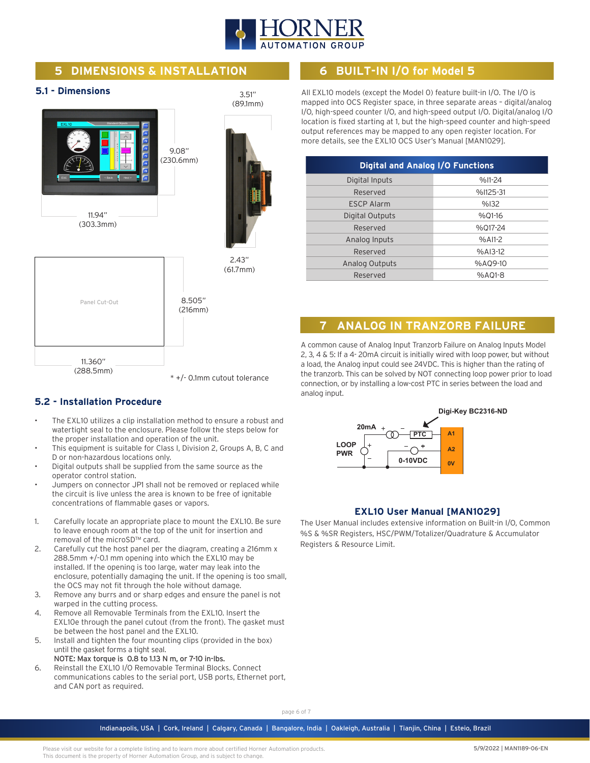

### **5 DIMENSIONS & INSTALLATION**

#### **5.1 - Dimensions**



#### **5.2 - Installation Procedure**

- The EXL10 utilizes a clip installation method to ensure a robust and watertight seal to the enclosure. Please follow the steps below for the proper installation and operation of the unit.
- This equipment is suitable for Class I, Division 2, Groups A, B, C and D or non-hazardous locations only.
- Digital outputs shall be supplied from the same source as the operator control station.
- Jumpers on connector JP1 shall not be removed or replaced while the circuit is live unless the area is known to be free of ignitable concentrations of flammable gases or vapors.
- 1. Carefully locate an appropriate place to mount the EXL10. Be sure to leave enough room at the top of the unit for insertion and removal of the microSD™ card.
- 2. Carefully cut the host panel per the diagram, creating a 216mm x 288.5mm +/-0.1 mm opening into which the EXL10 may be installed. If the opening is too large, water may leak into the enclosure, potentially damaging the unit. If the opening is too small, the OCS may not fit through the hole without damage.
- 3. Remove any burrs and or sharp edges and ensure the panel is not warped in the cutting process.
- 4. Remove all Removable Terminals from the EXL10. Insert the EXL10e through the panel cutout (from the front). The gasket must be between the host panel and the EXL10.
- 5. Install and tighten the four mounting clips (provided in the box) until the gasket forms a tight seal. NOTE: Max torque is 0.8 to 1.13 N m, or 7-10 in-lbs.
- 6. Reinstall the EXL10 I/O Removable Terminal Blocks. Connect communications cables to the serial port, USB ports, Ethernet port, and CAN port as required.

### **6 BUILT-IN I/O for Model 5**

All EXL10 models (except the Model 0) feature built-in I/O. The I/O is mapped into OCS Register space, in three separate areas – digital/analog I/O, high-speed counter I/O, and high-speed output I/O. Digital/analog I/O location is fixed starting at 1, but the high-speed counter and high-speed output references may be mapped to any open register location. For more details, see the EXL10 OCS User's Manual [MAN1029].

| <b>Digital and Analog I/O Functions</b> |           |  |  |  |
|-----------------------------------------|-----------|--|--|--|
| Digital Inputs                          | %I1-24    |  |  |  |
| Reserved                                | %I125-31  |  |  |  |
| <b>ESCP Alarm</b>                       | %132      |  |  |  |
| Digital Outputs                         | %01-16    |  |  |  |
| Reserved                                | %017-24   |  |  |  |
| Analog Inputs                           | $%$ AI1-2 |  |  |  |
| Reserved                                | $%A13-12$ |  |  |  |
| Analog Outputs                          | %AQ9-10   |  |  |  |
| Reserved                                | $%$ AQ1-8 |  |  |  |

### **7 ANALOG IN TRANZORB FAILURE**

A common cause of Analog Input Tranzorb Failure on Analog Inputs Model 2, 3, 4 & 5: If a 4- 20mA circuit is initially wired with loop power, but without a load, the Analog input could see 24VDC. This is higher than the rating of the tranzorb. This can be solved by NOT connecting loop power prior to load connection, or by installing a low-cost PTC in series between the load and analog input.



#### **EXL10 User Manual [MAN1029]**

The User Manual includes extensive information on Built-in I/O, Common %S & %SR Registers, HSC/PWM/Totalizer/Quadrature & Accumulator Registers & Resource Limit.

page 6 of 7